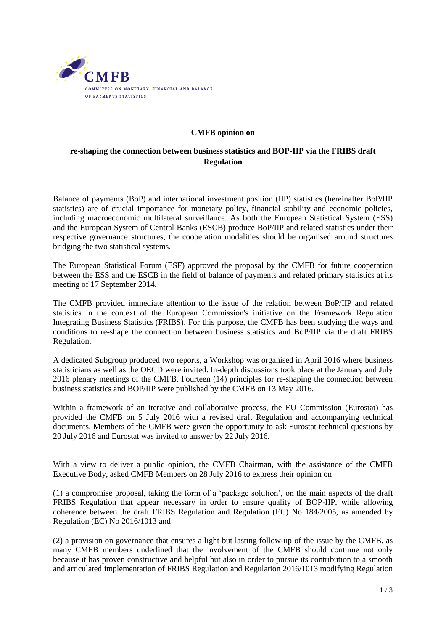

## **CMFB opinion on**

## **re-shaping the connection between business statistics and BOP-IIP via the FRIBS draft Regulation**

Balance of payments (BoP) and international investment position (IIP) statistics (hereinafter BoP/IIP statistics) are of crucial importance for monetary policy, financial stability and economic policies, including macroeconomic multilateral surveillance. As both the European Statistical System (ESS) and the European System of Central Banks (ESCB) produce BoP/IIP and related statistics under their respective governance structures, the cooperation modalities should be organised around structures bridging the two statistical systems.

The European Statistical Forum (ESF) approved the proposal by the CMFB for future cooperation between the ESS and the ESCB in the field of balance of payments and related primary statistics at its meeting of 17 September 2014.

The CMFB provided immediate attention to the issue of the relation between BoP/IIP and related statistics in the context of the European Commission's initiative on the Framework Regulation Integrating Business Statistics (FRIBS). For this purpose, the CMFB has been studying the ways and conditions to re-shape the connection between business statistics and BoP/IIP via the draft FRIBS Regulation.

A dedicated Subgroup produced two reports, a Workshop was organised in April 2016 where business statisticians as well as the OECD were invited. In-depth discussions took place at the January and July 2016 plenary meetings of the CMFB. Fourteen (14) principles for re-shaping the connection between business statistics and BOP/IIP were published by the CMFB on 13 May 2016.

Within a framework of an iterative and collaborative process, the EU Commission (Eurostat) has provided the CMFB on 5 July 2016 with a revised draft Regulation and accompanying technical documents. Members of the CMFB were given the opportunity to ask Eurostat technical questions by 20 July 2016 and Eurostat was invited to answer by 22 July 2016.

With a view to deliver a public opinion, the CMFB Chairman, with the assistance of the CMFB Executive Body, asked CMFB Members on 28 July 2016 to express their opinion on

(1) a compromise proposal, taking the form of a 'package solution', on the main aspects of the draft FRIBS Regulation that appear necessary in order to ensure quality of BOP-IIP, while allowing coherence between the draft FRIBS Regulation and Regulation (EC) No 184/2005, as amended by Regulation (EC) No 2016/1013 and

(2) a provision on governance that ensures a light but lasting follow-up of the issue by the CMFB, as many CMFB members underlined that the involvement of the CMFB should continue not only because it has proven constructive and helpful but also in order to pursue its contribution to a smooth and articulated implementation of FRIBS Regulation and Regulation 2016/1013 modifying Regulation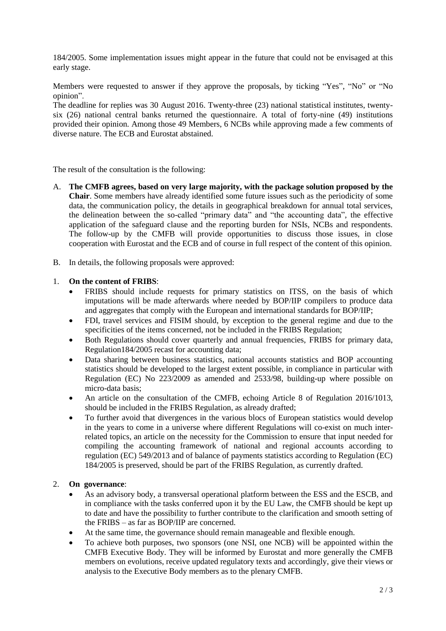184/2005. Some implementation issues might appear in the future that could not be envisaged at this early stage.

Members were requested to answer if they approve the proposals, by ticking "Yes", "No" or "No opinion".

The deadline for replies was 30 August 2016. Twenty-three (23) national statistical institutes, twentysix (26) national central banks returned the questionnaire. A total of forty-nine (49) institutions provided their opinion. Among those 49 Members, 6 NCBs while approving made a few comments of diverse nature. The ECB and Eurostat abstained.

The result of the consultation is the following:

- A. **The CMFB agrees, based on very large majority, with the package solution proposed by the Chair**. Some members have already identified some future issues such as the periodicity of some data, the communication policy, the details in geographical breakdown for annual total services, the delineation between the so-called "primary data" and "the accounting data", the effective application of the safeguard clause and the reporting burden for NSIs, NCBs and respondents. The follow-up by the CMFB will provide opportunities to discuss those issues, in close cooperation with Eurostat and the ECB and of course in full respect of the content of this opinion.
- B. In details, the following proposals were approved:

## 1. **On the content of FRIBS**:

- FRIBS should include requests for primary statistics on ITSS, on the basis of which imputations will be made afterwards where needed by BOP/IIP compilers to produce data and aggregates that comply with the European and international standards for BOP/IIP;
- FDI, travel services and FISIM should, by exception to the general regime and due to the specificities of the items concerned, not be included in the FRIBS Regulation;
- Both Regulations should cover quarterly and annual frequencies, FRIBS for primary data, Regulation184/2005 recast for accounting data;
- Data sharing between business statistics, national accounts statistics and BOP accounting statistics should be developed to the largest extent possible, in compliance in particular with Regulation (EC) No 223/2009 as amended and 2533/98, building-up where possible on micro-data basis;
- An article on the consultation of the CMFB, echoing Article 8 of Regulation 2016/1013, should be included in the FRIBS Regulation, as already drafted;
- To further avoid that divergences in the various blocs of European statistics would develop in the years to come in a universe where different Regulations will co-exist on much interrelated topics, an article on the necessity for the Commission to ensure that input needed for compiling the accounting framework of national and regional accounts according to regulation (EC) 549/2013 and of balance of payments statistics according to Regulation (EC) 184/2005 is preserved, should be part of the FRIBS Regulation, as currently drafted.

## 2. **On governance**:

- As an advisory body, a transversal operational platform between the ESS and the ESCB, and in compliance with the tasks conferred upon it by the EU Law, the CMFB should be kept up to date and have the possibility to further contribute to the clarification and smooth setting of the FRIBS – as far as BOP/IIP are concerned.
- At the same time, the governance should remain manageable and flexible enough.
- To achieve both purposes, two sponsors (one NSI, one NCB) will be appointed within the CMFB Executive Body. They will be informed by Eurostat and more generally the CMFB members on evolutions, receive updated regulatory texts and accordingly, give their views or analysis to the Executive Body members as to the plenary CMFB.